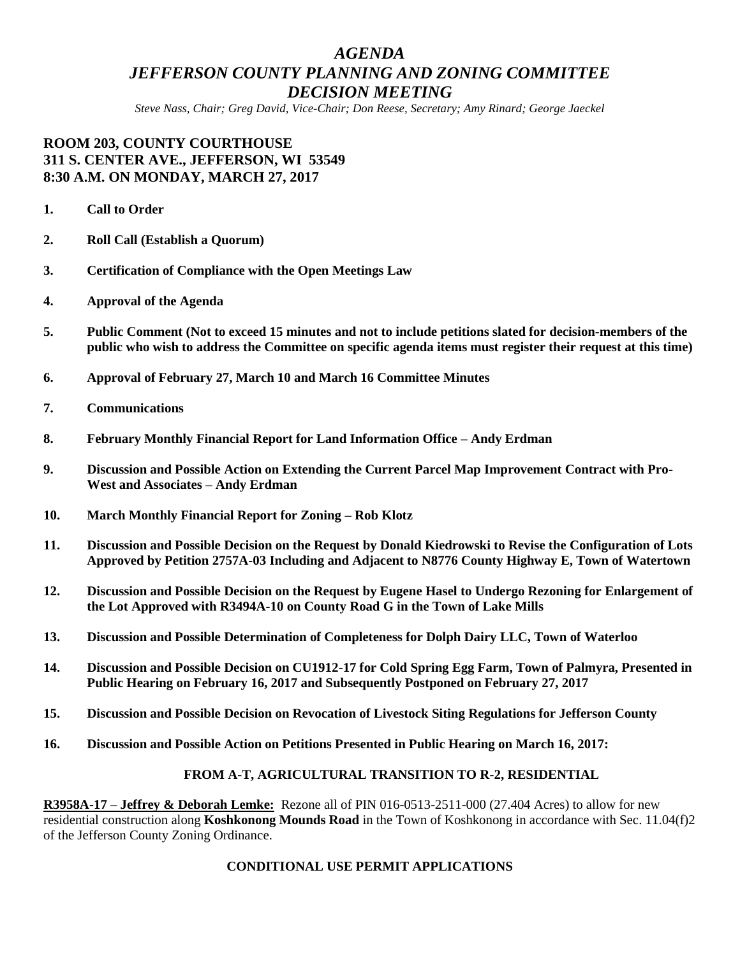# *AGENDA JEFFERSON COUNTY PLANNING AND ZONING COMMITTEE DECISION MEETING*

*Steve Nass, Chair; Greg David, Vice-Chair; Don Reese, Secretary; Amy Rinard; George Jaeckel*

# **ROOM 203, COUNTY COURTHOUSE 311 S. CENTER AVE., JEFFERSON, WI 53549 8:30 A.M. ON MONDAY, MARCH 27, 2017**

- **1. Call to Order**
- **2. Roll Call (Establish a Quorum)**
- **3. Certification of Compliance with the Open Meetings Law**
- **4. Approval of the Agenda**
- **5. Public Comment (Not to exceed 15 minutes and not to include petitions slated for decision-members of the public who wish to address the Committee on specific agenda items must register their request at this time)**
- **6. Approval of February 27, March 10 and March 16 Committee Minutes**
- **7. Communications**
- **8. February Monthly Financial Report for Land Information Office – Andy Erdman**
- **9. Discussion and Possible Action on Extending the Current Parcel Map Improvement Contract with Pro-West and Associates – Andy Erdman**
- **10. March Monthly Financial Report for Zoning – Rob Klotz**
- **11. Discussion and Possible Decision on the Request by Donald Kiedrowski to Revise the Configuration of Lots Approved by Petition 2757A-03 Including and Adjacent to N8776 County Highway E, Town of Watertown**
- **12. Discussion and Possible Decision on the Request by Eugene Hasel to Undergo Rezoning for Enlargement of the Lot Approved with R3494A-10 on County Road G in the Town of Lake Mills**
- **13. Discussion and Possible Determination of Completeness for Dolph Dairy LLC, Town of Waterloo**
- **14. Discussion and Possible Decision on CU1912-17 for Cold Spring Egg Farm, Town of Palmyra, Presented in Public Hearing on February 16, 2017 and Subsequently Postponed on February 27, 2017**
- **15. Discussion and Possible Decision on Revocation of Livestock Siting Regulations for Jefferson County**
- **16. Discussion and Possible Action on Petitions Presented in Public Hearing on March 16, 2017:**

#### **FROM A-T, AGRICULTURAL TRANSITION TO R-2, RESIDENTIAL**

**R3958A-17 – Jeffrey & Deborah Lemke:** Rezone all of PIN 016-0513-2511-000 (27.404 Acres) to allow for new residential construction along **Koshkonong Mounds Road** in the Town of Koshkonong in accordance with Sec. 11.04(f)2 of the Jefferson County Zoning Ordinance.

### **CONDITIONAL USE PERMIT APPLICATIONS**